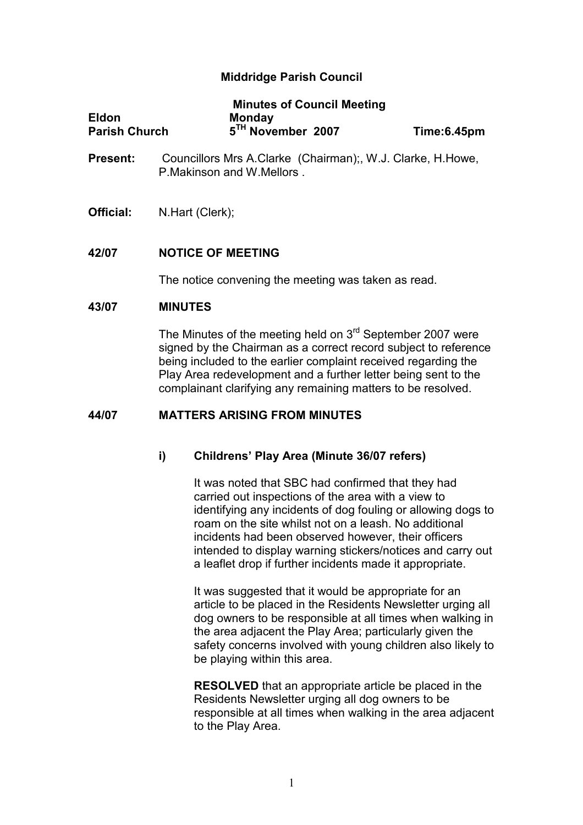# Middridge Parish Council

|                      | <b>Minutes of Council Meeting</b> |             |
|----------------------|-----------------------------------|-------------|
| <b>Eldon</b>         | <b>Monday</b>                     |             |
| <b>Parish Church</b> | 5 <sup>TH</sup> November 2007     | Time:6.45pm |

- Present: Councillors Mrs A.Clarke (Chairman);, W.J. Clarke, H.Howe, P.Makinson and W.Mellors .
- Official: N.Hart (Clerk);

### 42/07 NOTICE OF MEETING

The notice convening the meeting was taken as read.

#### 43/07 MINUTES

The Minutes of the meeting held on  $3<sup>rd</sup>$  September 2007 were signed by the Chairman as a correct record subject to reference being included to the earlier complaint received regarding the Play Area redevelopment and a further letter being sent to the complainant clarifying any remaining matters to be resolved.

### 44/07 MATTERS ARISING FROM MINUTES

#### i) Childrens' Play Area (Minute 36/07 refers)

 It was noted that SBC had confirmed that they had carried out inspections of the area with a view to identifying any incidents of dog fouling or allowing dogs to roam on the site whilst not on a leash. No additional incidents had been observed however, their officers intended to display warning stickers/notices and carry out a leaflet drop if further incidents made it appropriate.

 It was suggested that it would be appropriate for an article to be placed in the Residents Newsletter urging all dog owners to be responsible at all times when walking in the area adjacent the Play Area; particularly given the safety concerns involved with young children also likely to be playing within this area.

 RESOLVED that an appropriate article be placed in the Residents Newsletter urging all dog owners to be responsible at all times when walking in the area adjacent to the Play Area.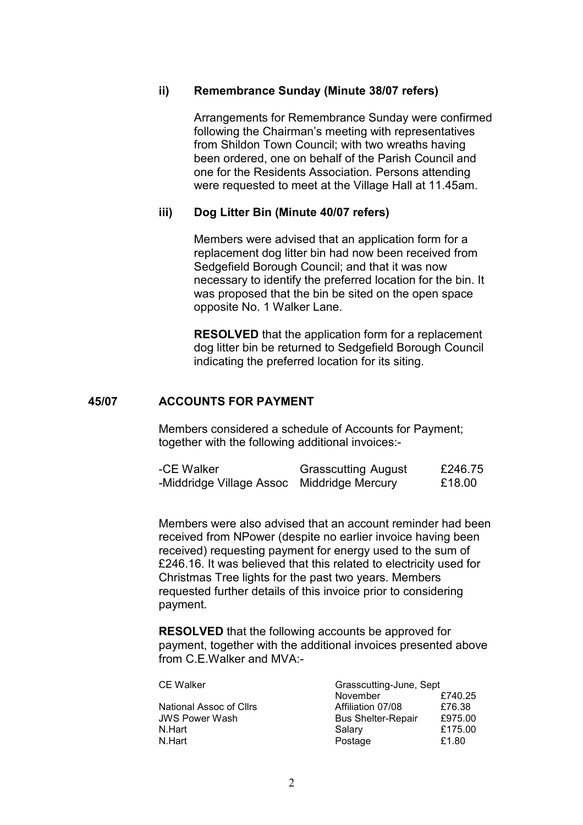### ii) Remembrance Sunday (Minute 38/07 refers)

Arrangements for Remembrance Sunday were confirmed following the Chairman's meeting with representatives from Shildon Town Council; with two wreaths having been ordered, one on behalf of the Parish Council and one for the Residents Association. Persons attending were requested to meet at the Village Hall at 11.45am.

#### iii) Dog Litter Bin (Minute 40/07 refers)

Members were advised that an application form for a replacement dog litter bin had now been received from Sedgefield Borough Council; and that it was now necessary to identify the preferred location for the bin. It was proposed that the bin be sited on the open space opposite No. 1 Walker Lane.

RESOLVED that the application form for a replacement dog litter bin be returned to Sedgefield Borough Council indicating the preferred location for its siting.

### 45/07 ACCOUNTS FOR PAYMENT

Members considered a schedule of Accounts for Payment; together with the following additional invoices:-

| -CE Walker               | <b>Grasscutting August</b> | £246.75 |
|--------------------------|----------------------------|---------|
| -Middridge Village Assoc | Middridge Mercury          | £18.00  |

 Members were also advised that an account reminder had been received from NPower (despite no earlier invoice having been received) requesting payment for energy used to the sum of £246.16. It was believed that this related to electricity used for Christmas Tree lights for the past two years. Members requested further details of this invoice prior to considering payment.

RESOLVED that the following accounts be approved for payment, together with the additional invoices presented above from C.E.Walker and MVA:-

CE Walker

| <b>CE Walker</b>        | Grasscutting-June, Sept   |         |
|-------------------------|---------------------------|---------|
|                         | November                  | £740.25 |
| National Assoc of Cllrs | Affiliation 07/08         | £76.38  |
| <b>JWS Power Wash</b>   | <b>Bus Shelter-Repair</b> | £975.00 |
| N.Hart                  | Salary                    | £175.00 |
| N.Hart                  | Postage                   | £1.80   |
|                         |                           |         |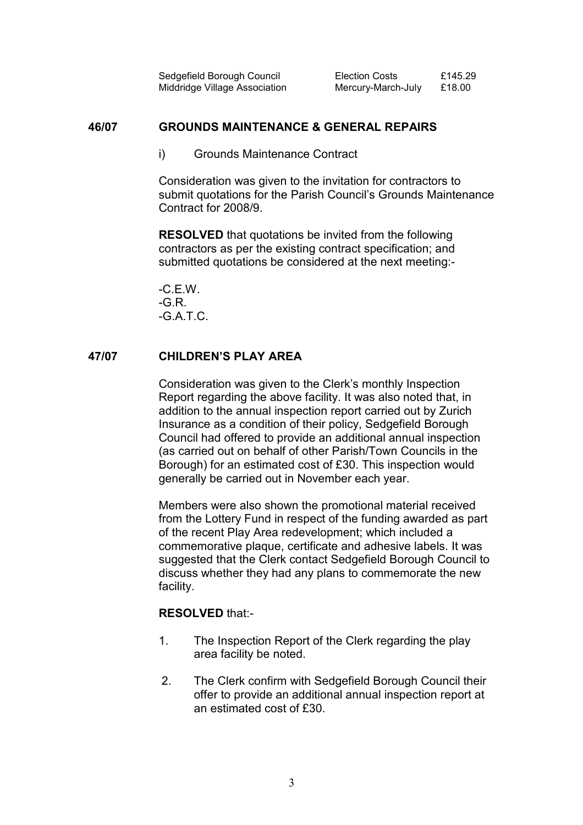| Sedgefield Borough Council    | <b>Election Costs</b> | £145.29 |
|-------------------------------|-----------------------|---------|
| Middridge Village Association | Mercury-March-July    | £18.00  |

#### 46/07 GROUNDS MAINTENANCE & GENERAL REPAIRS

i) Grounds Maintenance Contract

Consideration was given to the invitation for contractors to submit quotations for the Parish Council's Grounds Maintenance Contract for 2008/9.

RESOLVED that quotations be invited from the following contractors as per the existing contract specification; and submitted quotations be considered at the next meeting:-

 $-C$ . F. W. -G.R. -G.A.T.C.

### 47/07 CHILDREN'S PLAY AREA

Consideration was given to the Clerk's monthly Inspection Report regarding the above facility. It was also noted that, in addition to the annual inspection report carried out by Zurich Insurance as a condition of their policy, Sedgefield Borough Council had offered to provide an additional annual inspection (as carried out on behalf of other Parish/Town Councils in the Borough) for an estimated cost of £30. This inspection would generally be carried out in November each year.

Members were also shown the promotional material received from the Lottery Fund in respect of the funding awarded as part of the recent Play Area redevelopment; which included a commemorative plaque, certificate and adhesive labels. It was suggested that the Clerk contact Sedgefield Borough Council to discuss whether they had any plans to commemorate the new facility.

#### RESOLVED that:-

- 1. The Inspection Report of the Clerk regarding the play area facility be noted.
- 2. The Clerk confirm with Sedgefield Borough Council their offer to provide an additional annual inspection report at an estimated cost of £30.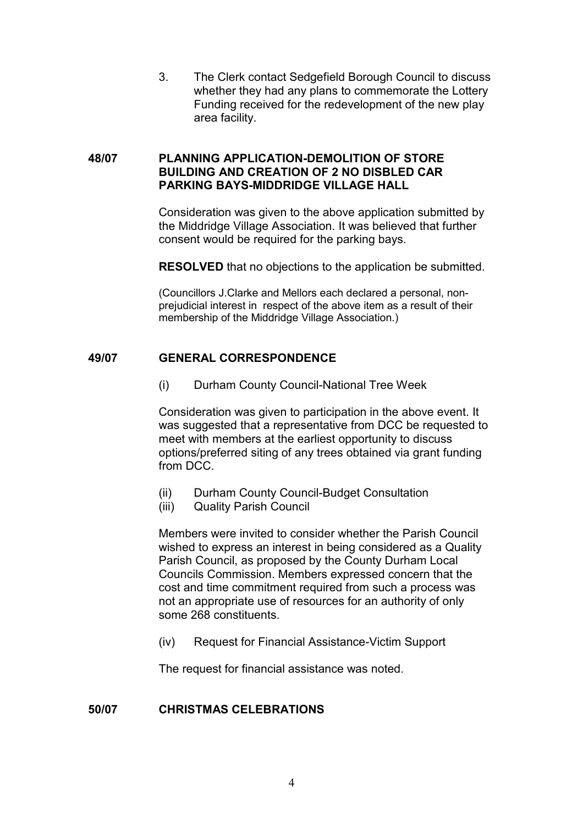3. The Clerk contact Sedgefield Borough Council to discuss whether they had any plans to commemorate the Lottery Funding received for the redevelopment of the new play area facility.

## 48/07 PLANNING APPLICATION-DEMOLITION OF STORE BUILDING AND CREATION OF 2 NO DISBLED CAR PARKING BAYS-MIDDRIDGE VILLAGE HALL

Consideration was given to the above application submitted by the Middridge Village Association. It was believed that further consent would be required for the parking bays.

RESOLVED that no objections to the application be submitted.

(Councillors J.Clarke and Mellors each declared a personal, nonprejudicial interest in respect of the above item as a result of their membership of the Middridge Village Association.)

### 49/07 GENERAL CORRESPONDENCE

(i) Durham County Council-National Tree Week

Consideration was given to participation in the above event. It was suggested that a representative from DCC be requested to meet with members at the earliest opportunity to discuss options/preferred siting of any trees obtained via grant funding from DCC.

- (ii) Durham County Council-Budget Consultation
- (iii) Quality Parish Council

Members were invited to consider whether the Parish Council wished to express an interest in being considered as a Quality Parish Council, as proposed by the County Durham Local Councils Commission. Members expressed concern that the cost and time commitment required from such a process was not an appropriate use of resources for an authority of only some 268 constituents.

(iv) Request for Financial Assistance-Victim Support

The request for financial assistance was noted.

# 50/07 CHRISTMAS CELEBRATIONS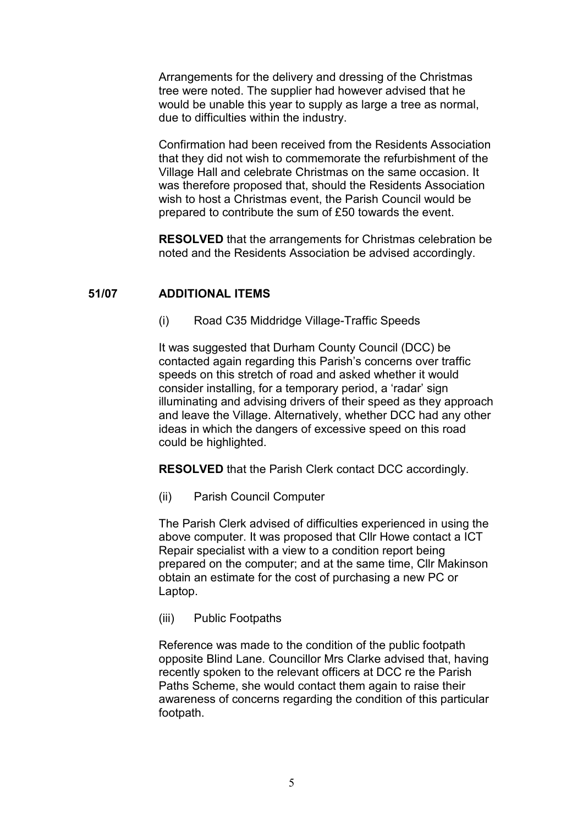Arrangements for the delivery and dressing of the Christmas tree were noted. The supplier had however advised that he would be unable this year to supply as large a tree as normal, due to difficulties within the industry.

Confirmation had been received from the Residents Association that they did not wish to commemorate the refurbishment of the Village Hall and celebrate Christmas on the same occasion. It was therefore proposed that, should the Residents Association wish to host a Christmas event, the Parish Council would be prepared to contribute the sum of £50 towards the event.

RESOLVED that the arrangements for Christmas celebration be noted and the Residents Association be advised accordingly.

## 51/07 ADDITIONAL ITEMS

(i) Road C35 Middridge Village-Traffic Speeds

It was suggested that Durham County Council (DCC) be contacted again regarding this Parish's concerns over traffic speeds on this stretch of road and asked whether it would consider installing, for a temporary period, a 'radar' sign illuminating and advising drivers of their speed as they approach and leave the Village. Alternatively, whether DCC had any other ideas in which the dangers of excessive speed on this road could be highlighted.

RESOLVED that the Parish Clerk contact DCC accordingly.

(ii) Parish Council Computer

The Parish Clerk advised of difficulties experienced in using the above computer. It was proposed that Cllr Howe contact a ICT Repair specialist with a view to a condition report being prepared on the computer; and at the same time, Cllr Makinson obtain an estimate for the cost of purchasing a new PC or Laptop.

(iii) Public Footpaths

Reference was made to the condition of the public footpath opposite Blind Lane. Councillor Mrs Clarke advised that, having recently spoken to the relevant officers at DCC re the Parish Paths Scheme, she would contact them again to raise their awareness of concerns regarding the condition of this particular footpath.